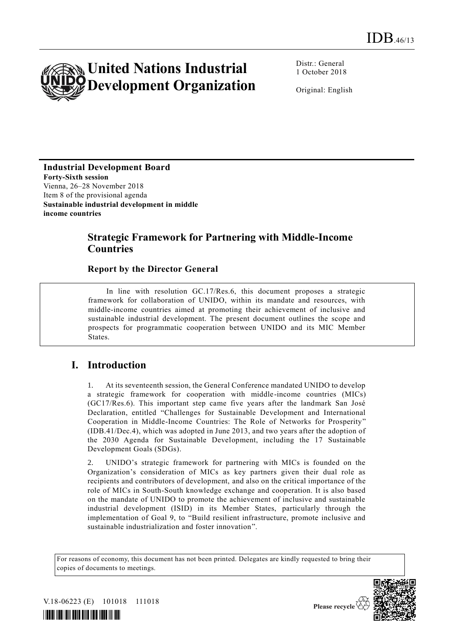

Distr.: General 1 October 2018

Original: English

**Industrial Development Board Forty-Sixth session** Vienna, 26–28 November 2018 Item 8 of the provisional agenda **Sustainable industrial development in middle income countries** 

# **Strategic Framework for Partnering with Middle-Income Countries**

### **Report by the Director General**

In line with resolution GC.17/Res.6, this document proposes a strategic framework for collaboration of UNIDO, within its mandate and resources, with middle-income countries aimed at promoting their achievement of inclusive and sustainable industrial development. The present document outlines the scope and prospects for programmatic cooperation between UNIDO and its MIC Member States.

# **I. Introduction**

1. At its seventeenth session, the General Conference mandated UNIDO to develop a strategic framework for cooperation with middle-income countries (MICs) (GC17/Res.6). This important step came five years after the landmark San José Declaration, entitled "Challenges for Sustainable Development and International Cooperation in Middle-Income Countries: The Role of Networks for Prosperity" (IDB.41/Dec.4), which was adopted in June 2013, and two years after the adoption of the 2030 Agenda for Sustainable Development, including the 17 Sustainable Development Goals (SDGs).

2. UNIDO's strategic framework for partnering with MICs is founded on the Organization's consideration of MICs as key partners given their dual role as recipients and contributors of development, and also on the critical importance of the role of MICs in South-South knowledge exchange and cooperation. It is also based on the mandate of UNIDO to promote the achievement of inclusive and sustainable industrial development (ISID) in its Member States, particularly through the implementation of Goal 9, to "Build resilient infrastructure, promote inclusive and sustainable industrialization and foster innovation".

For reasons of economy, this document has not been printed. Delegates are kindly requested to bring their copies of documents to meetings.



V.18-06223 (E) 101018 111018



Please recycle  $\mathfrak{C}$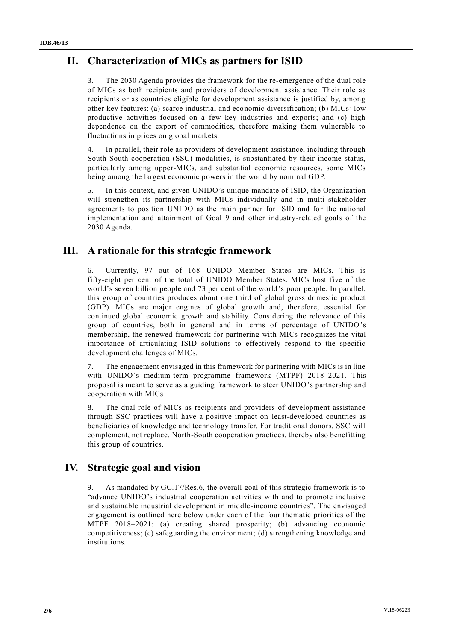# **II. Characterization of MICs as partners for ISID**

The 2030 Agenda provides the framework for the re-emergence of the dual role of MICs as both recipients and providers of development assistance. Their role as recipients or as countries eligible for development assistance is justified by, among other key features: (a) scarce industrial and economic diversification; (b) MICs' low productive activities focused on a few key industries and exports; and (c) high dependence on the export of commodities, therefore making them vulnerable to fluctuations in prices on global markets.

4. In parallel, their role as providers of development assistance, including through South-South cooperation (SSC) modalities, is substantiated by their income status, particularly among upper-MICs, and substantial economic resources, some MICs being among the largest economic powers in the world by nominal GDP.

5. In this context, and given UNIDO's unique mandate of ISID, the Organization will strengthen its partnership with MICs individually and in multi-stakeholder agreements to position UNIDO as the main partner for ISID and for the national implementation and attainment of Goal 9 and other industry-related goals of the 2030 Agenda.

# **III. A rationale for this strategic framework**

6. Currently, 97 out of 168 UNIDO Member States are MICs. This is fifty-eight per cent of the total of UNIDO Member States. MICs host five of the world's seven billion people and 73 per cent of the world's poor people. In parallel, this group of countries produces about one third of global gross domestic product (GDP). MICs are major engines of global growth and, therefore, essential for continued global economic growth and stability. Considering the relevance of this group of countries, both in general and in terms of percentage of UNIDO's membership, the renewed framework for partnering with MICs recognizes the vital importance of articulating ISID solutions to effectively respond to the specific development challenges of MICs.

7. The engagement envisaged in this framework for partnering with MICs is in line with UNIDO's medium-term programme framework (MTPF) 2018–2021. This proposal is meant to serve as a guiding framework to steer UNIDO's partnership and cooperation with MICs

8. The dual role of MICs as recipients and providers of development assistance through SSC practices will have a positive impact on least-developed countries as beneficiaries of knowledge and technology transfer. For traditional donors, SSC will complement, not replace, North-South cooperation practices, thereby also benefitting this group of countries.

# **IV. Strategic goal and vision**

9. As mandated by GC.17/Res.6, the overall goal of this strategic framework is to "advance UNIDO's industrial cooperation activities with and to promote inclusive and sustainable industrial development in middle-income countries". The envisaged engagement is outlined here below under each of the four thematic priorities of the MTPF 2018–2021: (a) creating shared prosperity; (b) advancing economic competitiveness; (c) safeguarding the environment; (d) strengthening knowledge and institutions.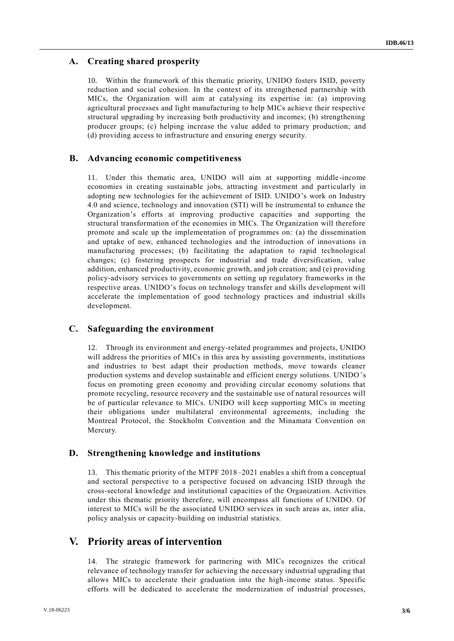## **A. Creating shared prosperity**

10. Within the framework of this thematic priority, UNIDO fosters ISID, poverty reduction and social cohesion. In the context of its strengthened partnership with MICs, the Organization will aim at catalysing its expertise in: (a) improving agricultural processes and light manufacturing to help MICs achieve their respective structural upgrading by increasing both productivity and incomes; (b) strengthening producer groups; (c) helping increase the value added to primary production; and (d) providing access to infrastructure and ensuring energy security.

#### **B. Advancing economic competitiveness**

11. Under this thematic area, UNIDO will aim at supporting middle-income economies in creating sustainable jobs, attracting investment and particularly in adopting new technologies for the achievement of ISID. UNIDO's work on Industry 4.0 and science, technology and innovation (STI) will be instrumental to enhance the Organization's efforts at improving productive capacities and supporting the structural transformation of the economies in MICs. The Organization will therefore promote and scale up the implementation of programmes on: (a) the dissemination and uptake of new, enhanced technologies and the introduction of innovations in manufacturing processes; (b) facilitating the adaptation to rapid technological changes; (c) fostering prospects for industrial and trade diversification, value addition, enhanced productivity, economic growth, and job creation; and (e) providing policy-advisory services to governments on setting up regulatory frameworks in the respective areas. UNIDO's focus on technology transfer and skills development will accelerate the implementation of good technology practices and industrial skills development.

#### **C. Safeguarding the environment**

12. Through its environment and energy-related programmes and projects, UNIDO will address the priorities of MICs in this area by assisting governments, institutions and industries to best adapt their production methods, move towards cleaner production systems and develop sustainable and efficient energy solutions. UNIDO's focus on promoting green economy and providing circular economy solutions that promote recycling, resource recovery and the sustainable use of natural resources will be of particular relevance to MICs. UNIDO will keep supporting MICs in meeting their obligations under multilateral environmental agreements, including the Montreal Protocol, the Stockholm Convention and the Minamata Convention on Mercury.

#### **D. Strengthening knowledge and institutions**

13. This thematic priority of the MTPF 2018–2021 enables a shift from a conceptual and sectoral perspective to a perspective focused on advancing ISID through the cross-sectoral knowledge and institutional capacities of the Organization. Activities under this thematic priority therefore, will encompass all functions of UNIDO. Of interest to MICs will be the associated UNIDO services in such areas as, inter alia, policy analysis or capacity-building on industrial statistics.

# **V. Priority areas of intervention**

14. The strategic framework for partnering with MICs recognizes the critical relevance of technology transfer for achieving the necessary industrial upgrading that allows MICs to accelerate their graduation into the high-income status. Specific efforts will be dedicated to accelerate the modernization of industrial processes,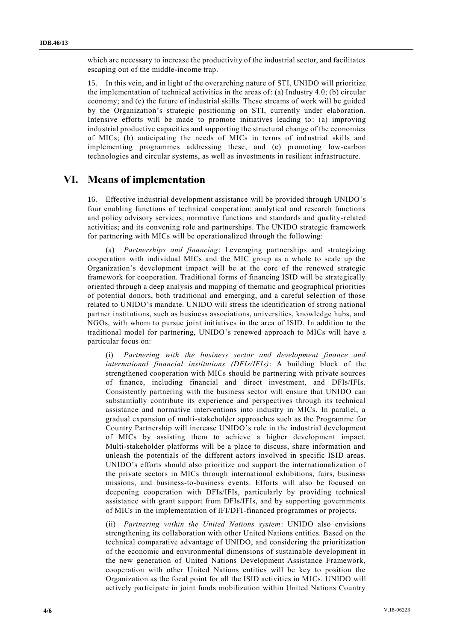which are necessary to increase the productivity of the industrial sector, and facilitates escaping out of the middle-income trap.

15. In this vein, and in light of the overarching nature of STI, UNIDO will prioritize the implementation of technical activities in the areas of: (a) Industry 4.0; (b) circular economy; and (c) the future of industrial skills. These streams of work will be guided by the Organization's strategic positioning on STI, currently under elaboration. Intensive efforts will be made to promote initiatives leading to: (a) improving industrial productive capacities and supporting the structural change of the economies of MICs; (b) anticipating the needs of MICs in terms of industrial skills and implementing programmes addressing these; and (c) promoting low-carbon technologies and circular systems, as well as investments in resilient infrastructure.

## **VI. Means of implementation**

16. Effective industrial development assistance will be provided through UNIDO's four enabling functions of technical cooperation; analytical and research functions and policy advisory services; normative functions and standards and quality-related activities; and its convening role and partnerships. The UNIDO strategic framework for partnering with MICs will be operationalized through the following:

(a) *Partnerships and financing*: Leveraging partnerships and strategizing cooperation with individual MICs and the MIC group as a whole to scale up the Organization's development impact will be at the core of the renewed strategic framework for cooperation. Traditional forms of financing ISID will be strategically oriented through a deep analysis and mapping of thematic and geographical priorities of potential donors, both traditional and emerging, and a careful selection of those related to UNIDO's mandate. UNIDO will stress the identification of strong national partner institutions, such as business associations, universities, knowledge hubs, and NGOs, with whom to pursue joint initiatives in the area of ISID. In addition to the traditional model for partnering, UNIDO's renewed approach to MICs will have a particular focus on:

(i) *Partnering with the business sector and development finance and international financial institutions (DFIs/IFIs)*: A building block of the strengthened cooperation with MICs should be partnering with private sources of finance, including financial and direct investment, and DFIs/IFIs. Consistently partnering with the business sector will ensure that UNIDO can substantially contribute its experience and perspectives through its technical assistance and normative interventions into industry in MICs. In parallel, a gradual expansion of multi-stakeholder approaches such as the Programme for Country Partnership will increase UNIDO's role in the industrial development of MICs by assisting them to achieve a higher development impact. Multi-stakeholder platforms will be a place to discuss, share information and unleash the potentials of the different actors involved in specific ISID areas. UNIDO's efforts should also prioritize and support the internationalization of the private sectors in MICs through international exhibitions, fairs, business missions, and business-to-business events. Efforts will also be focused on deepening cooperation with DFIs/IFIs, particularly by providing technical assistance with grant support from DFIs/IFIs, and by supporting governments of MICs in the implementation of IFI/DFI-financed programmes or projects.

(ii) *Partnering within the United Nations system*: UNIDO also envisions strengthening its collaboration with other United Nations entities. Based on the technical comparative advantage of UNIDO, and considering the prioritization of the economic and environmental dimensions of sustainable development in the new generation of United Nations Development Assistance Framework, cooperation with other United Nations entities will be key to position the Organization as the focal point for all the ISID activities in MICs. UNIDO will actively participate in joint funds mobilization within United Nations Country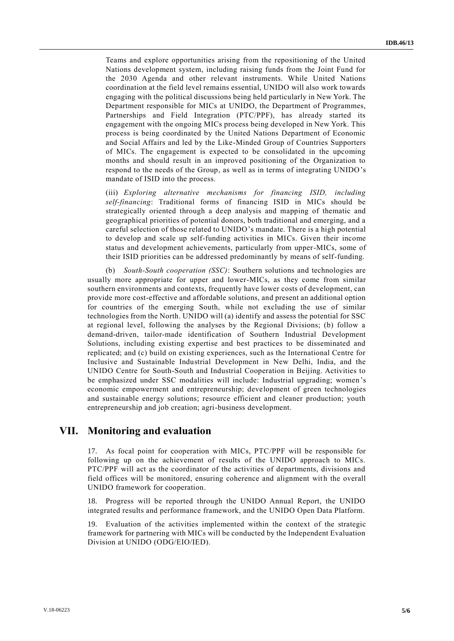Teams and explore opportunities arising from the repositioning of the United Nations development system, including raising funds from the Joint Fund for the 2030 Agenda and other relevant instruments. While United Nations coordination at the field level remains essential, UNIDO will also work towards engaging with the political discussions being held particularly in New York. The Department responsible for MICs at UNIDO, the Department of Programmes, Partnerships and Field Integration (PTC/PPF), has already started its engagement with the ongoing MICs process being developed in New York. This process is being coordinated by the United Nations Department of Economic and Social Affairs and led by the Like-Minded Group of Countries Supporters of MICs. The engagement is expected to be consolidated in the upcoming months and should result in an improved positioning of the Organization to respond to the needs of the Group, as well as in terms of integrating UNIDO's mandate of ISID into the process.

(iii) *Exploring alternative mechanisms for financing ISID, including self-financing*: Traditional forms of financing ISID in MICs should be strategically oriented through a deep analysis and mapping of thematic and geographical priorities of potential donors, both traditional and emerging, and a careful selection of those related to UNIDO's mandate. There is a high potential to develop and scale up self-funding activities in MICs. Given their income status and development achievements, particularly from upper-MICs, some of their ISID priorities can be addressed predominantly by means of self-funding.

(b) *South-South cooperation (SSC)*: Southern solutions and technologies are usually more appropriate for upper and lower-MICs, as they come from similar southern environments and contexts, frequently have lower costs of development, can provide more cost-effective and affordable solutions, and present an additional option for countries of the emerging South, while not excluding the use of similar technologies from the North. UNIDO will (a) identify and assess the potential for SSC at regional level, following the analyses by the Regional Divisions; (b) follow a demand-driven, tailor-made identification of Southern Industrial Development Solutions, including existing expertise and best practices to be disseminated and replicated; and (c) build on existing experiences, such as the International Centre for Inclusive and Sustainable Industrial Development in New Delhi, India, and the UNIDO Centre for South-South and Industrial Cooperation in Beijing. Activities to be emphasized under SSC modalities will include: Industrial upgrading; women's economic empowerment and entrepreneurship; development of green technologies and sustainable energy solutions; resource efficient and cleaner production; youth entrepreneurship and job creation; agri-business development.

## **VII. Monitoring and evaluation**

17. As focal point for cooperation with MICs, PTC/PPF will be responsible for following up on the achievement of results of the UNIDO approach to MICs. PTC/PPF will act as the coordinator of the activities of departments, divisions and field offices will be monitored, ensuring coherence and alignment with the overall UNIDO framework for cooperation.

18. Progress will be reported through the UNIDO Annual Report, the UNIDO integrated results and performance framework, and the UNIDO Open Data Platform.

19. Evaluation of the activities implemented within the context of the strategic framework for partnering with MICs will be conducted by the Independent Evaluation Division at UNIDO (ODG/EIO/IED).